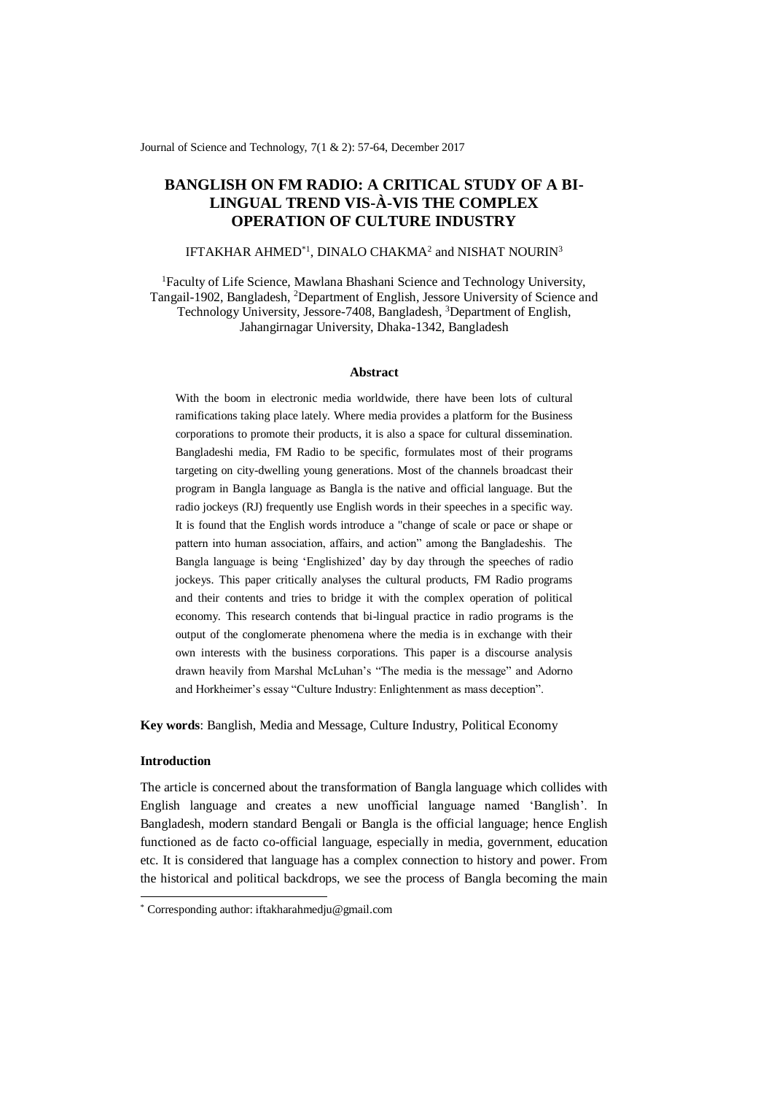Journal of Science and Technology, 7(1 & 2): 57-64, December 2017

# **BANGLISH ON FM RADIO: A CRITICAL STUDY OF A BI-LINGUAL TREND VIS-À-VIS THE COMPLEX OPERATION OF CULTURE INDUSTRY**

# IFTAKHAR AHMED $^{\ast}{}^{1}$ , DINALO CHAKMA $^{2}$  and NISHAT NOURIN $^{3}$

<sup>1</sup>Faculty of Life Science, Mawlana Bhashani Science and Technology University, Tangail-1902, Bangladesh, <sup>2</sup>Department of English, Jessore University of Science and Technology University, Jessore-7408, Bangladesh, <sup>3</sup>Department of English, Jahangirnagar University, Dhaka-1342, Bangladesh

#### **Abstract**

With the boom in electronic media worldwide, there have been lots of cultural ramifications taking place lately. Where media provides a platform for the Business corporations to promote their products, it is also a space for cultural dissemination. Bangladeshi media, FM Radio to be specific, formulates most of their programs targeting on city-dwelling young generations. Most of the channels broadcast their program in Bangla language as Bangla is the native and official language. But the radio jockeys (RJ) frequently use English words in their speeches in a specific way. It is found that the English words introduce a "change of scale or pace or shape or pattern into human association, affairs, and action" among the Bangladeshis. The Bangla language is being 'Englishized' day by day through the speeches of radio jockeys. This paper critically analyses the cultural products, FM Radio programs and their contents and tries to bridge it with the complex operation of political economy. This research contends that bi-lingual practice in radio programs is the output of the conglomerate phenomena where the media is in exchange with their own interests with the business corporations. This paper is a discourse analysis drawn heavily from Marshal McLuhan's "The media is the message" and Adorno and Horkheimer's essay "Culture Industry: Enlightenment as mass deception".

**Key words**: Banglish, Media and Message, Culture Industry, Political Economy

## **Introduction**

-

The article is concerned about the transformation of Bangla language which collides with English language and creates a new unofficial language named 'Banglish'. In Bangladesh, modern standard Bengali or Bangla is the official language; hence English functioned as de facto co-official language, especially in media, government, education etc. It is considered that language has a complex connection to history and power. From the historical and political backdrops, we see the process of Bangla becoming the main

<sup>\*</sup> Corresponding author: iftakharahmedju@gmail.com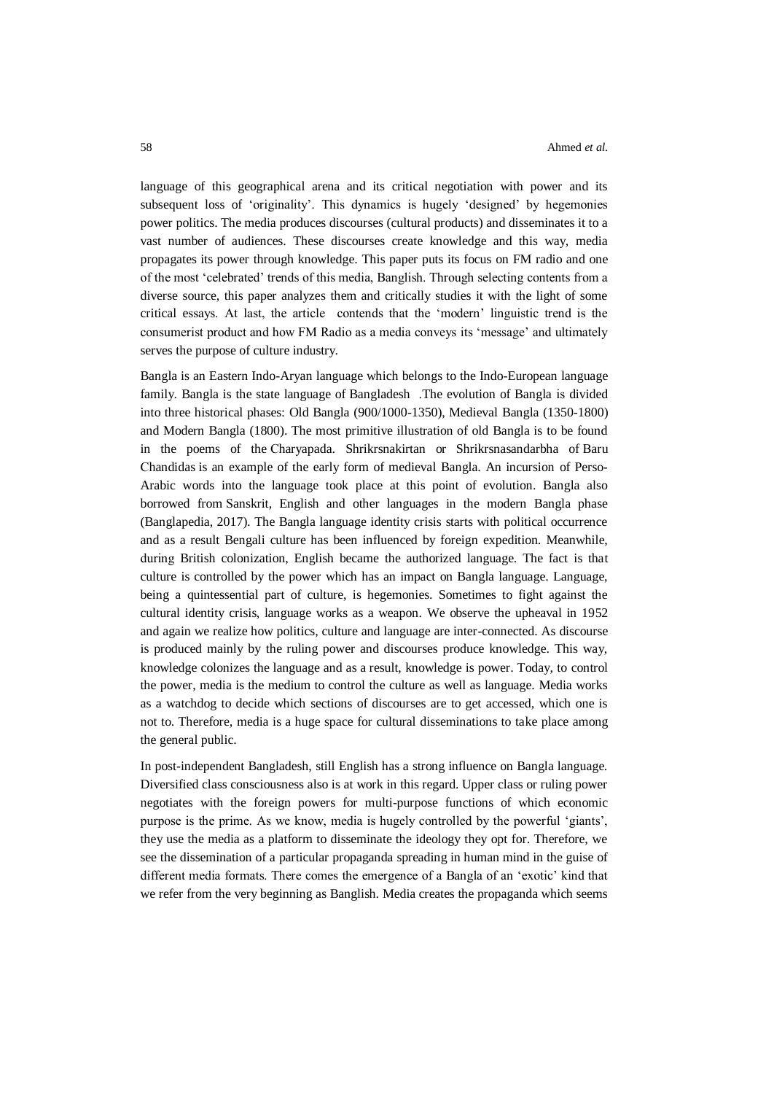language of this geographical arena and its critical negotiation with power and its subsequent loss of 'originality'. This dynamics is hugely 'designed' by hegemonies power politics. The media produces discourses (cultural products) and disseminates it to a vast number of audiences. These discourses create knowledge and this way, media propagates its power through knowledge. This paper puts its focus on FM radio and one of the most 'celebrated' trends of this media, Banglish. Through selecting contents from a diverse source, this paper analyzes them and critically studies it with the light of some critical essays. At last, the article contends that the 'modern' linguistic trend is the consumerist product and how FM Radio as a media conveys its 'message' and ultimately serves the purpose of culture industry.

Bangla is an Eastern Indo-Aryan language which belongs to the Indo-European language family. Bangla is the state language of [Bangladesh](http://en.banglapedia.org/index.php?title=Bangladesh) .The evolution of Bangla is divided into three historical phases: Old Bangla (900/1000-1350), Medieval Bangla (1350-1800) and Modern Bangla (1800). The most primitive illustration of old Bangla is to be found in the poems of the [Charyapada.](http://en.banglapedia.org/index.php?title=Charyapada) Shrikrsnakirtan or Shrikrsnasandarbha of [Baru](http://en.banglapedia.org/index.php?title=Baru_Chandidas)  [Chandidas](http://en.banglapedia.org/index.php?title=Baru_Chandidas) is an example of the early form of medieval Bangla. An incursion of Perso-Arabic words into the language took place at this point of evolution. Bangla also borrowed from [Sanskrit,](http://en.banglapedia.org/index.php?title=Sanskrit) English and other languages in the modern Bangla phase (Banglapedia, 2017). The Bangla language identity crisis starts with political occurrence and as a result Bengali culture has been influenced by foreign expedition. Meanwhile, during British colonization, English became the authorized language. The fact is that culture is controlled by the power which has an impact on Bangla language. Language, being a quintessential part of culture, is hegemonies. Sometimes to fight against the cultural identity crisis, language works as a weapon. We observe the upheaval in 1952 and again we realize how politics, culture and language are inter-connected. As discourse is produced mainly by the ruling power and discourses produce knowledge. This way, knowledge colonizes the language and as a result, knowledge is power. Today, to control the power, media is the medium to control the culture as well as language. Media works as a watchdog to decide which sections of discourses are to get accessed, which one is not to. Therefore, media is a huge space for cultural disseminations to take place among the general public.

In post-independent Bangladesh, still English has a strong influence on Bangla language. Diversified class consciousness also is at work in this regard. Upper class or ruling power negotiates with the foreign powers for multi-purpose functions of which economic purpose is the prime. As we know, media is hugely controlled by the powerful 'giants', they use the media as a platform to disseminate the ideology they opt for. Therefore, we see the dissemination of a particular propaganda spreading in human mind in the guise of different media formats. There comes the emergence of a Bangla of an 'exotic' kind that we refer from the very beginning as Banglish. Media creates the propaganda which seems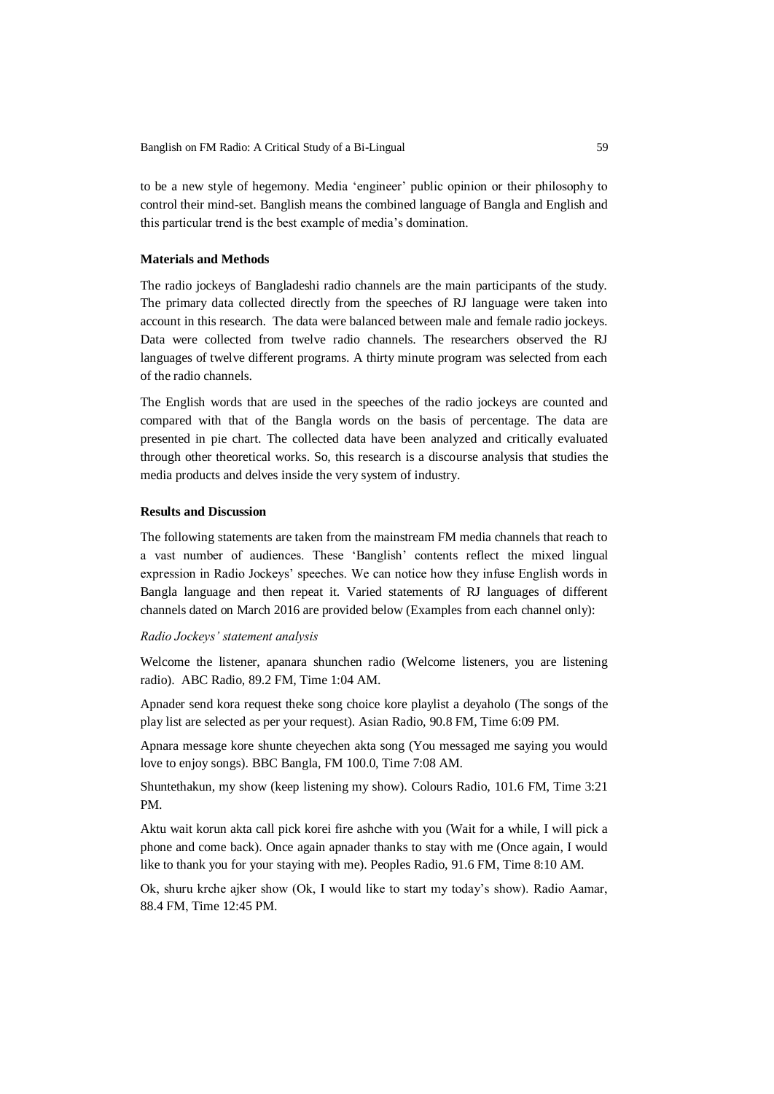to be a new style of hegemony. Media 'engineer' public opinion or their philosophy to control their mind-set. Banglish means the combined language of Bangla and English and this particular trend is the best example of media's domination.

## **Materials and Methods**

The radio jockeys of Bangladeshi radio channels are the main participants of the study. The primary data collected directly from the speeches of RJ language were taken into account in this research. The data were balanced between male and female radio jockeys. Data were collected from twelve radio channels. The researchers observed the RJ languages of twelve different programs. A thirty minute program was selected from each of the radio channels.

The English words that are used in the speeches of the radio jockeys are counted and compared with that of the Bangla words on the basis of percentage. The data are presented in pie chart. The collected data have been analyzed and critically evaluated through other theoretical works. So, this research is a discourse analysis that studies the media products and delves inside the very system of industry.

# **Results and Discussion**

The following statements are taken from the mainstream FM media channels that reach to a vast number of audiences. These 'Banglish' contents reflect the mixed lingual expression in Radio Jockeys' speeches. We can notice how they infuse English words in Bangla language and then repeat it. Varied statements of RJ languages of different channels dated on March 2016 are provided below (Examples from each channel only):

## *Radio Jockeys' statement analysis*

Welcome the listener, apanara shunchen radio (Welcome listeners, you are listening radio). ABC Radio, 89.2 FM, Time 1:04 AM.

Apnader send kora request theke song choice kore playlist a deyaholo (The songs of the play list are selected as per your request). Asian Radio, 90.8 FM, Time 6:09 PM.

Apnara message kore shunte cheyechen akta song (You messaged me saying you would love to enjoy songs). BBC Bangla, FM 100.0, Time 7:08 AM.

Shuntethakun, my show (keep listening my show). Colours Radio, 101.6 FM, Time 3:21 PM.

Aktu wait korun akta call pick korei fire ashche with you (Wait for a while, I will pick a phone and come back). Once again apnader thanks to stay with me (Once again, I would like to thank you for your staying with me). Peoples Radio, 91.6 FM, Time 8:10 AM.

Ok, shuru krche ajker show (Ok, I would like to start my today's show). Radio Aamar, 88.4 FM, Time 12:45 PM.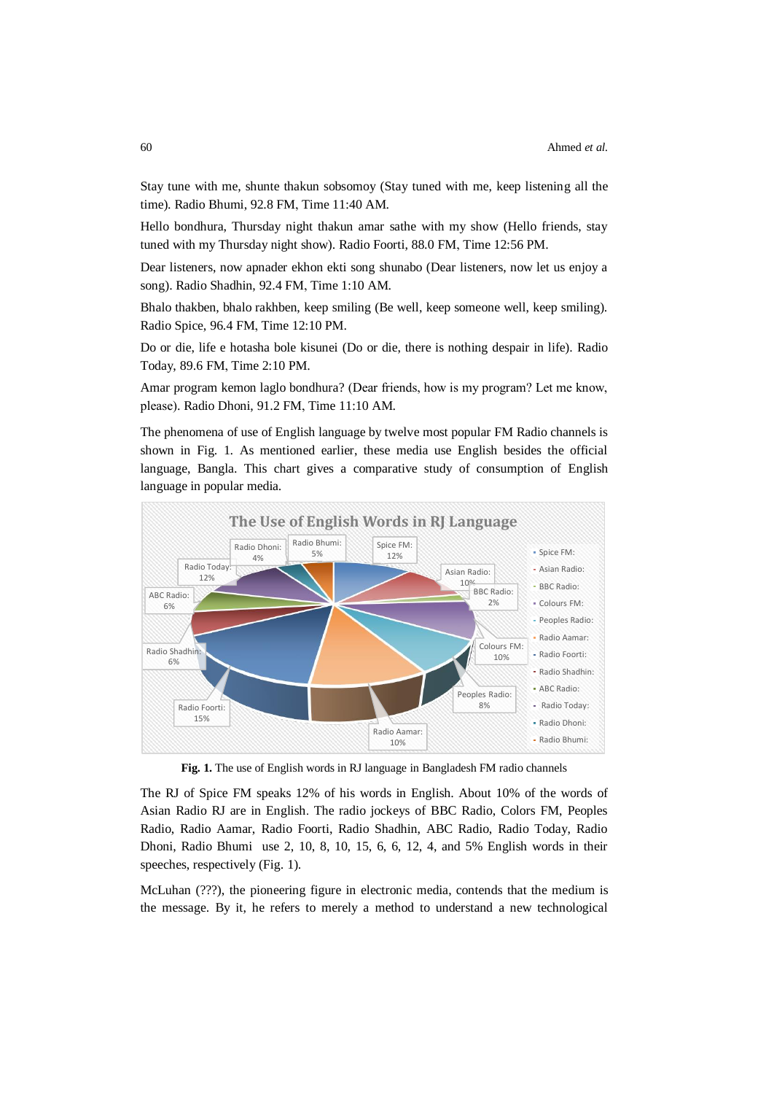Stay tune with me, shunte thakun sobsomoy (Stay tuned with me, keep listening all the time). Radio Bhumi, 92.8 FM, Time 11:40 AM.

Hello bondhura, Thursday night thakun amar sathe with my show (Hello friends, stay tuned with my Thursday night show). Radio Foorti, 88.0 FM, Time 12:56 PM.

Dear listeners, now apnader ekhon ekti song shunabo (Dear listeners, now let us enjoy a song). Radio Shadhin, 92.4 FM, Time 1:10 AM.

Bhalo thakben, bhalo rakhben, keep smiling (Be well, keep someone well, keep smiling). Radio Spice, 96.4 FM, Time 12:10 PM.

Do or die, life e hotasha bole kisunei (Do or die, there is nothing despair in life). Radio Today, 89.6 FM, Time 2:10 PM.

Amar program kemon laglo bondhura? (Dear friends, how is my program? Let me know, please). Radio Dhoni, 91.2 FM, Time 11:10 AM.

The phenomena of use of English language by twelve most popular FM Radio channels is shown in Fig. 1. As mentioned earlier, these media use English besides the official language, Bangla. This chart gives a comparative study of consumption of English language in popular media.



**Fig. 1.** The use of English words in RJ language in Bangladesh FM radio channels

The RJ of Spice FM speaks 12% of his words in English. About 10% of the words of Asian Radio RJ are in English. The radio jockeys of BBC Radio, Colors FM, Peoples Radio, Radio Aamar, Radio Foorti, Radio Shadhin, ABC Radio, Radio Today, Radio Dhoni, Radio Bhumi use 2, 10, 8, 10, 15, 6, 6, 12, 4, and 5% English words in their speeches, respectively (Fig. 1).

McLuhan (???), the pioneering figure in electronic media, contends that the medium is the message. By it, he refers to merely a method to understand a new technological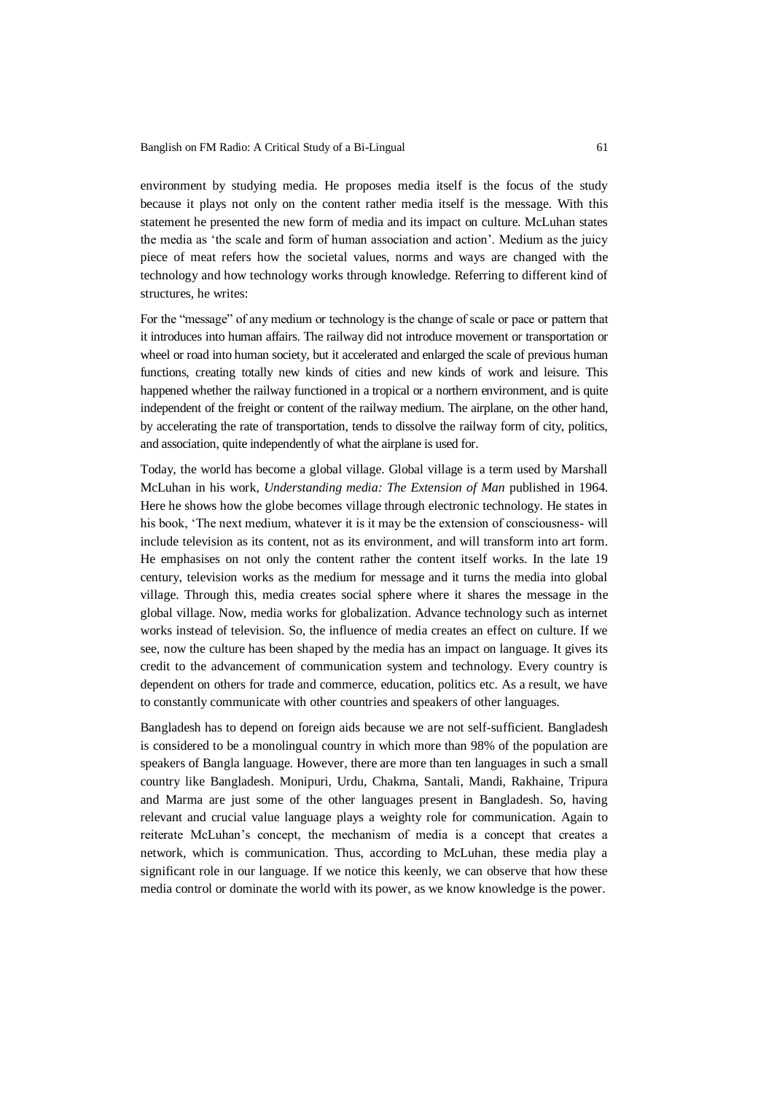environment by studying media. He proposes media itself is the focus of the study because it plays not only on the content rather media itself is the message. With this statement he presented the new form of media and its impact on culture. McLuhan states the media as 'the scale and form of human association and action'. Medium as the juicy piece of meat refers how the societal values, norms and ways are changed with the technology and how technology works through knowledge. Referring to different kind of structures, he writes:

For the "message" of any medium or technology is the change of scale or pace or pattern that it introduces into human affairs. The railway did not introduce movement or transportation or wheel or road into human society, but it accelerated and enlarged the scale of previous human functions, creating totally new kinds of cities and new kinds of work and leisure. This happened whether the railway functioned in a tropical or a northern environment, and is quite independent of the freight or content of the railway medium. The airplane, on the other hand, by accelerating the rate of transportation, tends to dissolve the railway form of city, politics, and association, quite independently of what the airplane is used for.

Today, the world has become a global village. Global village is a term used by Marshall McLuhan in his work, *Understanding media: The Extension of Man* published in 1964. Here he shows how the globe becomes village through electronic technology. He states in his book, 'The next medium, whatever it is it may be the extension of consciousness- will include television as its content, not as its environment, and will transform into art form. He emphasises on not only the content rather the content itself works. In the late 19 century, television works as the medium for message and it turns the media into global village. Through this, media creates social sphere where it shares the message in the global village. Now, media works for globalization. Advance technology such as internet works instead of television. So, the influence of media creates an effect on culture. If we see, now the culture has been shaped by the media has an impact on language. It gives its credit to the advancement of communication system and technology. Every country is dependent on others for trade and commerce, education, politics etc. As a result, we have to constantly communicate with other countries and speakers of other languages.

Bangladesh has to depend on foreign aids because we are not self-sufficient. Bangladesh is considered to be a monolingual country in which more than 98% of the population are speakers of Bangla language. However, there are more than ten languages in such a small country like Bangladesh. Monipuri, Urdu, Chakma, Santali, Mandi, Rakhaine, Tripura and Marma are just some of the other languages present in Bangladesh. So, having relevant and crucial value language plays a weighty role for communication. Again to reiterate McLuhan's concept, the mechanism of media is a concept that creates a network, which is communication. Thus, according to McLuhan, these media play a significant role in our language. If we notice this keenly, we can observe that how these media control or dominate the world with its power, as we know knowledge is the power.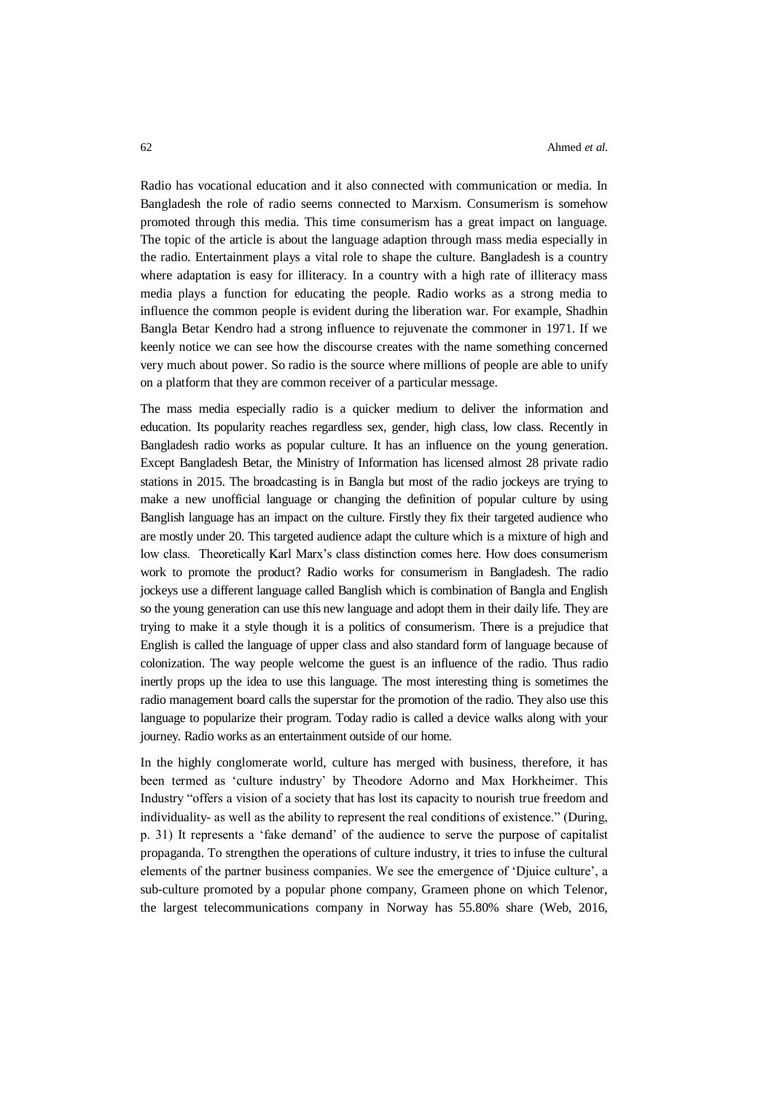Radio has vocational education and it also connected with communication or media. In Bangladesh the role of radio seems connected to Marxism. Consumerism is somehow promoted through this media. This time consumerism has a great impact on language. The topic of the article is about the language adaption through mass media especially in the radio. Entertainment plays a vital role to shape the culture. Bangladesh is a country where adaptation is easy for illiteracy. In a country with a high rate of illiteracy mass media plays a function for educating the people. Radio works as a strong media to influence the common people is evident during the liberation war. For example, Shadhin Bangla Betar Kendro had a strong influence to rejuvenate the commoner in 1971. If we keenly notice we can see how the discourse creates with the name something concerned very much about power. So radio is the source where millions of people are able to unify on a platform that they are common receiver of a particular message.

The mass media especially radio is a quicker medium to deliver the information and education. Its popularity reaches regardless sex, gender, high class, low class. Recently in Bangladesh radio works as popular culture. It has an influence on the young generation. Except Bangladesh Betar, the Ministry of Information has licensed almost 28 private radio stations in 2015. The broadcasting is in Bangla but most of the radio jockeys are trying to make a new unofficial language or changing the definition of popular culture by using Banglish language has an impact on the culture. Firstly they fix their targeted audience who are mostly under 20. This targeted audience adapt the culture which is a mixture of high and low class. Theoretically Karl Marx's class distinction comes here. How does consumerism work to promote the product? Radio works for consumerism in Bangladesh. The radio jockeys use a different language called Banglish which is combination of Bangla and English so the young generation can use this new language and adopt them in their daily life. They are trying to make it a style though it is a politics of consumerism. There is a prejudice that English is called the language of upper class and also standard form of language because of colonization. The way people welcome the guest is an influence of the radio. Thus radio inertly props up the idea to use this language. The most interesting thing is sometimes the radio management board calls the superstar for the promotion of the radio. They also use this language to popularize their program. Today radio is called a device walks along with your journey. Radio works as an entertainment outside of our home.

In the highly conglomerate world, culture has merged with business, therefore, it has been termed as 'culture industry' by Theodore Adorno and Max Horkheimer. This Industry "offers a vision of a society that has lost its capacity to nourish true freedom and individuality- as well as the ability to represent the real conditions of existence." (During, p. 31) It represents a 'fake demand' of the audience to serve the purpose of capitalist propaganda. To strengthen the operations of culture industry, it tries to infuse the cultural elements of the partner business companies. We see the emergence of 'Djuice culture', a sub-culture promoted by a popular phone company, Grameen phone on which Telenor, the largest telecommunications company in Norway has 55.80% share (Web, 2016,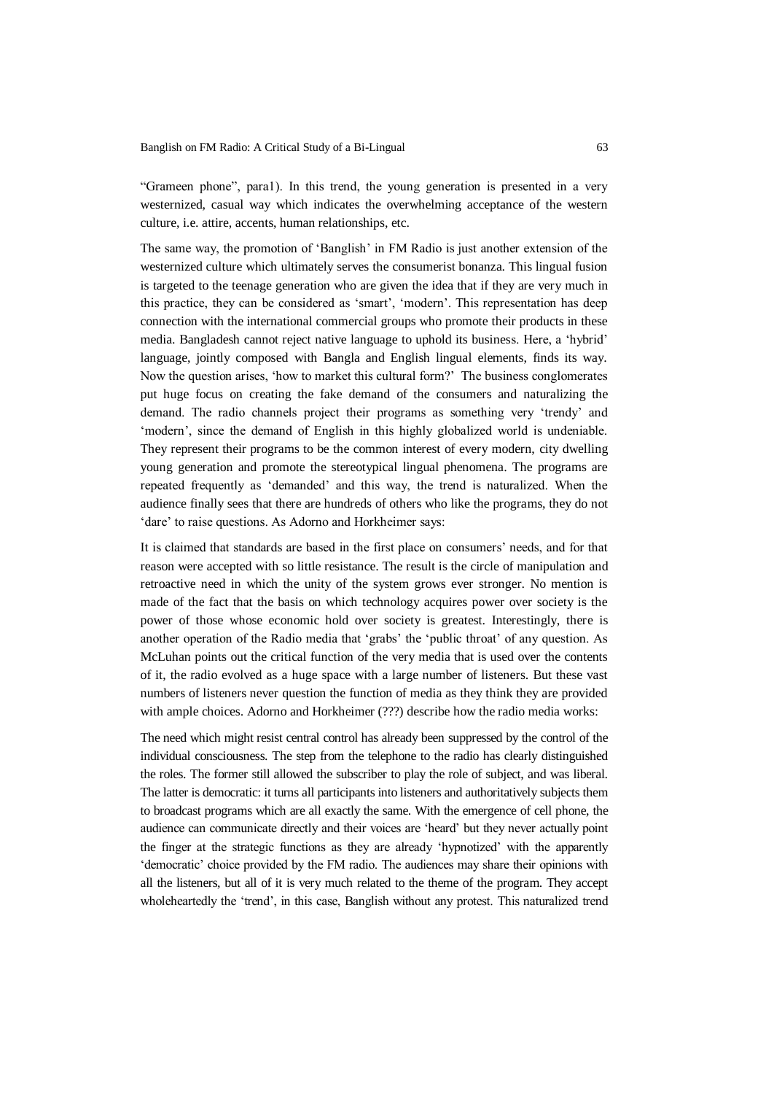"Grameen phone", para1). In this trend, the young generation is presented in a very westernized, casual way which indicates the overwhelming acceptance of the western culture, i.e. attire, accents, human relationships, etc.

The same way, the promotion of 'Banglish' in FM Radio is just another extension of the westernized culture which ultimately serves the consumerist bonanza. This lingual fusion is targeted to the teenage generation who are given the idea that if they are very much in this practice, they can be considered as 'smart', 'modern'. This representation has deep connection with the international commercial groups who promote their products in these media. Bangladesh cannot reject native language to uphold its business. Here, a 'hybrid' language, jointly composed with Bangla and English lingual elements, finds its way. Now the question arises, 'how to market this cultural form?' The business conglomerates put huge focus on creating the fake demand of the consumers and naturalizing the demand. The radio channels project their programs as something very 'trendy' and 'modern', since the demand of English in this highly globalized world is undeniable. They represent their programs to be the common interest of every modern, city dwelling young generation and promote the stereotypical lingual phenomena. The programs are repeated frequently as 'demanded' and this way, the trend is naturalized. When the audience finally sees that there are hundreds of others who like the programs, they do not 'dare' to raise questions. As Adorno and Horkheimer says:

It is claimed that standards are based in the first place on consumers' needs, and for that reason were accepted with so little resistance. The result is the circle of manipulation and retroactive need in which the unity of the system grows ever stronger. No mention is made of the fact that the basis on which technology acquires power over society is the power of those whose economic hold over society is greatest. Interestingly, there is another operation of the Radio media that 'grabs' the 'public throat' of any question. As McLuhan points out the critical function of the very media that is used over the contents of it, the radio evolved as a huge space with a large number of listeners. But these vast numbers of listeners never question the function of media as they think they are provided with ample choices. Adorno and Horkheimer (???) describe how the radio media works:

The need which might resist central control has already been suppressed by the control of the individual consciousness. The step from the telephone to the radio has clearly distinguished the roles. The former still allowed the subscriber to play the role of subject, and was liberal. The latter is democratic: it turns all participants into listeners and authoritatively subjects them to broadcast programs which are all exactly the same. With the emergence of cell phone, the audience can communicate directly and their voices are 'heard' but they never actually point the finger at the strategic functions as they are already 'hypnotized' with the apparently 'democratic' choice provided by the FM radio. The audiences may share their opinions with all the listeners, but all of it is very much related to the theme of the program. They accept wholeheartedly the 'trend', in this case, Banglish without any protest. This naturalized trend